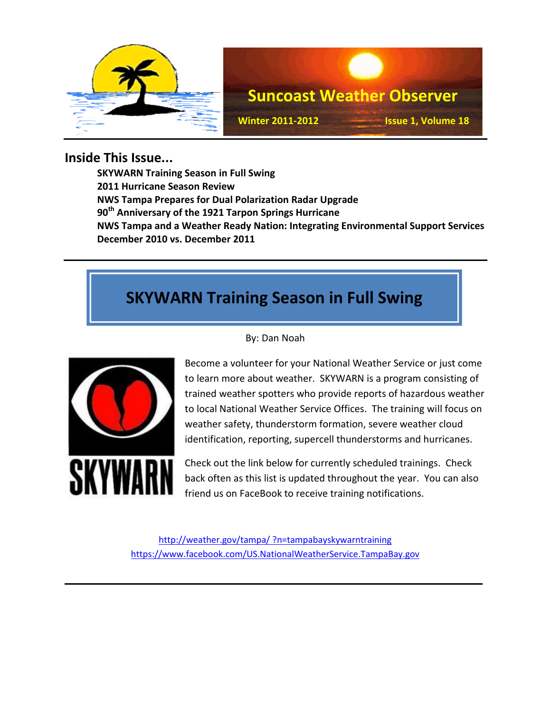

### **Inside This Issue...**

**SKYWARN Training Season in Full Swing 2011 Hurricane Season Review NWS Tampa Prepares for Dual Polarization Radar Upgrade 90th Anniversary of the 1921 Tarpon Springs Hurricane NWS Tampa and a Weather Ready Nation: Integrating Environmental Support Services December 2010 vs. December 2011**

## **SKYWARN Training Season in Full Swing**



By: Dan Noah

Become a volunteer for your National Weather Service or just come to learn more about weather. SKYWARN is a program consisting of trained weather spotters who provide reports of hazardous weather to local National Weather Service Offices. The training will focus on weather safety, thunderstorm formation, severe weather cloud identification, reporting, supercell thunderstorms and hurricanes.

Check out the link below for currently scheduled trainings. Check back often as this list is updated throughout the year. You can also friend us on FaceBook to receive training notifications.

[http://weather.gov/tampa/ ?n=tampabayskywarntraining](http://weather.gov/tampa/%20?n=tampabayskywarntraining) <https://www.facebook.com/US.NationalWeatherService.TampaBay.gov>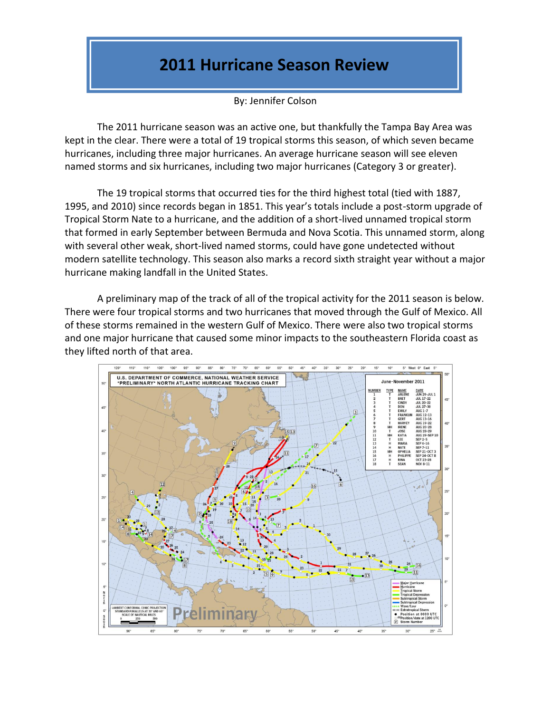### **2011 Hurricane Season Review**

By: Jennifer Colson

The 2011 hurricane season was an active one, but thankfully the Tampa Bay Area was kept in the clear. There were a total of 19 tropical storms this season, of which seven became hurricanes, including three major hurricanes. An average hurricane season will see eleven named storms and six hurricanes, including two major hurricanes (Category 3 or greater).

The 19 tropical storms that occurred ties for the third highest total (tied with 1887, 1995, and 2010) since records began in 1851. This year's totals include a post-storm upgrade of Tropical Storm Nate to a hurricane, and the addition of a short-lived unnamed tropical storm that formed in early September between Bermuda and Nova Scotia. This unnamed storm, along with several other weak, short-lived named storms, could have gone undetected without modern satellite technology. This season also marks a record sixth straight year without a major hurricane making landfall in the United States.

A preliminary map of the track of all of the tropical activity for the 2011 season is below. There were four tropical storms and two hurricanes that moved through the Gulf of Mexico. All of these storms remained in the western Gulf of Mexico. There were also two tropical storms and one major hurricane that caused some minor impacts to the southeastern Florida coast as they lifted north of that area.

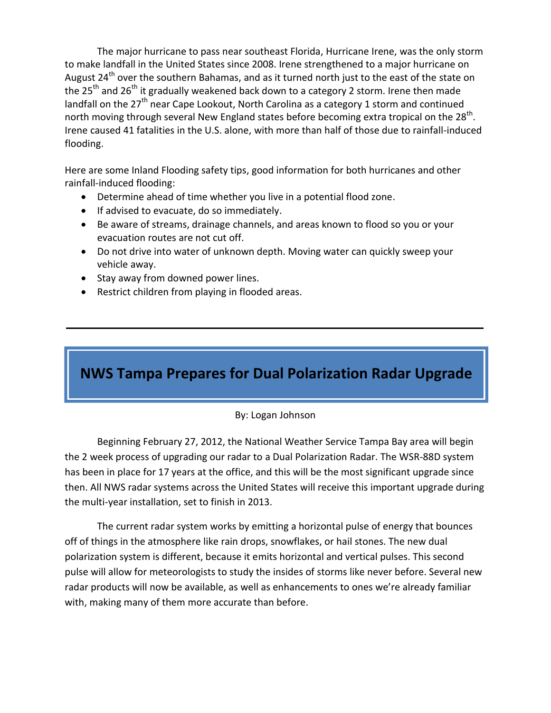The major hurricane to pass near southeast Florida, Hurricane Irene, was the only storm to make landfall in the United States since 2008. Irene strengthened to a major hurricane on August  $24<sup>th</sup>$  over the southern Bahamas, and as it turned north just to the east of the state on the 25<sup>th</sup> and 26<sup>th</sup> it gradually weakened back down to a category 2 storm. Irene then made landfall on the  $27<sup>th</sup>$  near Cape Lookout, North Carolina as a category 1 storm and continued north moving through several New England states before becoming extra tropical on the 28<sup>th</sup>. Irene caused 41 fatalities in the U.S. alone, with more than half of those due to rainfall-induced flooding.

Here are some Inland Flooding safety tips, good information for both hurricanes and other rainfall-induced flooding:

- Determine ahead of time whether you live in a potential flood zone.
- **If advised to evacuate, do so immediately.**
- Be aware of streams, drainage channels, and areas known to flood so you or your evacuation routes are not cut off.
- Do not drive into water of unknown depth. Moving water can quickly sweep your vehicle away.
- Stay away from downed power lines.
- Restrict children from playing in flooded areas.

### **NWS Tampa Prepares for Dual Polarization Radar Upgrade**

#### By: Logan Johnson

Beginning February 27, 2012, the National Weather Service Tampa Bay area will begin the 2 week process of upgrading our radar to a Dual Polarization Radar. The WSR-88D system has been in place for 17 years at the office, and this will be the most significant upgrade since then. All NWS radar systems across the United States will receive this important upgrade during the multi-year installation, set to finish in 2013.

The current radar system works by emitting a horizontal pulse of energy that bounces off of things in the atmosphere like rain drops, snowflakes, or hail stones. The new dual polarization system is different, because it emits horizontal and vertical pulses. This second pulse will allow for meteorologists to study the insides of storms like never before. Several new radar products will now be available, as well as enhancements to ones we're already familiar with, making many of them more accurate than before.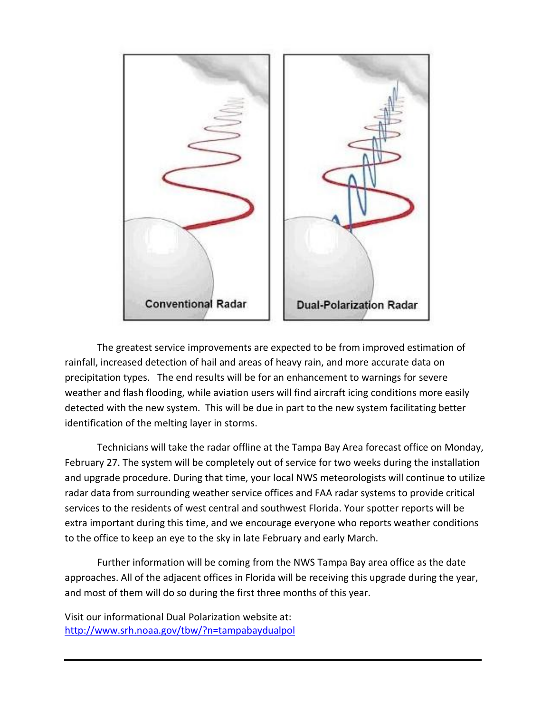

The greatest service improvements are expected to be from improved estimation of rainfall, increased detection of hail and areas of heavy rain, and more accurate data on precipitation types. The end results will be for an enhancement to warnings for severe weather and flash flooding, while aviation users will find aircraft icing conditions more easily detected with the new system. This will be due in part to the new system facilitating better identification of the melting layer in storms.

Technicians will take the radar offline at the Tampa Bay Area forecast office on Monday, February 27. The system will be completely out of service for two weeks during the installation and upgrade procedure. During that time, your local NWS meteorologists will continue to utilize radar data from surrounding weather service offices and FAA radar systems to provide critical services to the residents of west central and southwest Florida. Your spotter reports will be extra important during this time, and we encourage everyone who reports weather conditions to the office to keep an eye to the sky in late February and early March.

Further information will be coming from the NWS Tampa Bay area office as the date approaches. All of the adjacent offices in Florida will be receiving this upgrade during the year, and most of them will do so during the first three months of this year.

Visit our informational Dual Polarization website at: <http://www.srh.noaa.gov/tbw/?n=tampabaydualpol>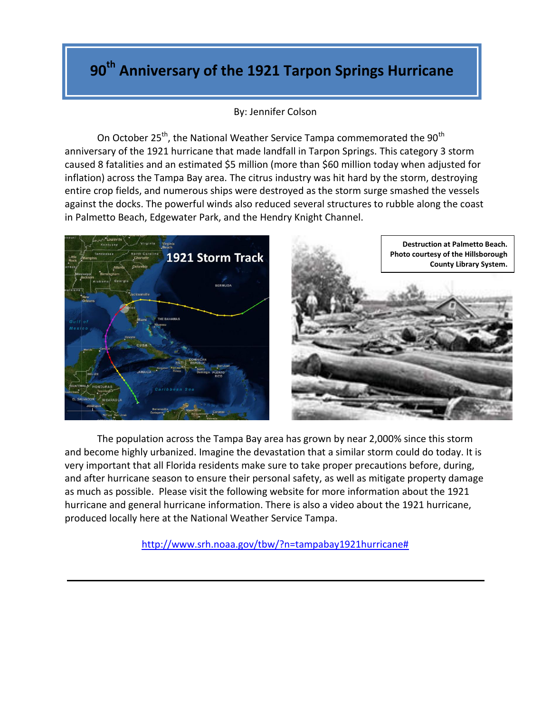# **90th Anniversary of the 1921 Tarpon Springs Hurricane**

#### By: Jennifer Colson

On October 25<sup>th</sup>, the National Weather Service Tampa commemorated the  $90<sup>th</sup>$ anniversary of the 1921 hurricane that made landfall in Tarpon Springs. This category 3 storm caused 8 fatalities and an estimated \$5 million (more than \$60 million today when adjusted for inflation) across the Tampa Bay area. The citrus industry was hit hard by the storm, destroying entire crop fields, and numerous ships were destroyed as the storm surge smashed the vessels against the docks. The powerful winds also reduced several structures to rubble along the coast in Palmetto Beach, Edgewater Park, and the Hendry Knight Channel.





The population across the Tampa Bay area has grown by near 2,000% since this storm and become highly urbanized. Imagine the devastation that a similar storm could do today. It is very important that all Florida residents make sure to take proper precautions before, during, and after hurricane season to ensure their personal safety, as well as mitigate property damage as much as possible. Please visit the following website for more information about the 1921 hurricane and general hurricane information. There is also a video about the 1921 hurricane, produced locally here at the National Weather Service Tampa.

[http://www.srh.noaa.gov/tbw/?n=tampabay1921hurricane#](http://www.srh.noaa.gov/tbw/?n=tampabay1921hurricane)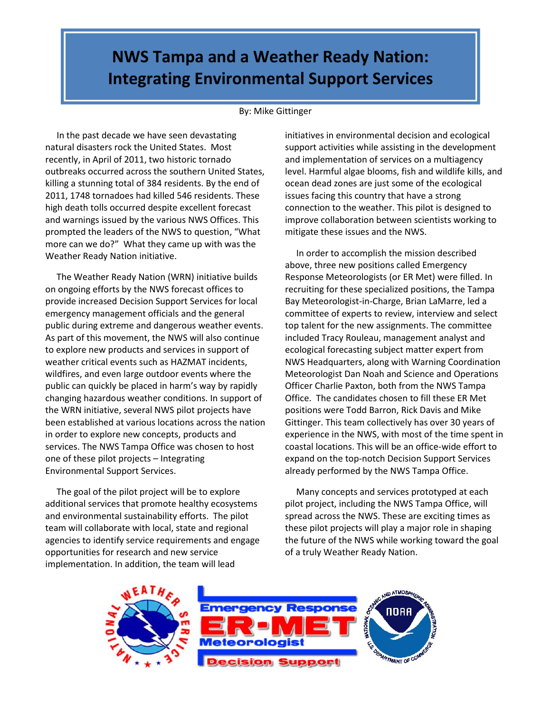## **NWS Tampa and a Weather Ready Nation: Integrating Environmental Support Services**

#### By: Mike Gittinger

 In the past decade we have seen devastating natural disasters rock the United States. Most recently, in April of 2011, two historic tornado outbreaks occurred across the southern United States, killing a stunning total of 384 residents. By the end of 2011, 1748 tornadoes had killed 546 residents. These high death tolls occurred despite excellent forecast and warnings issued by the various NWS Offices. This prompted the leaders of the NWS to question, "What more can we do?" What they came up with was the Weather Ready Nation initiative.

 The Weather Ready Nation (WRN) initiative builds on ongoing efforts by the NWS forecast offices to provide increased Decision Support Services for local emergency management officials and the general public during extreme and dangerous weather events. As part of this movement, the NWS will also continue to explore new products and services in support of weather critical events such as HAZMAT incidents, wildfires, and even large outdoor events where the public can quickly be placed in harm's way by rapidly changing hazardous weather conditions. In support of the WRN initiative, several NWS pilot projects have been established at various locations across the nation in order to explore new concepts, products and services. The NWS Tampa Office was chosen to host one of these pilot projects – Integrating Environmental Support Services.

 The goal of the pilot project will be to explore additional services that promote healthy ecosystems and environmental sustainability efforts. The pilot team will collaborate with local, state and regional agencies to identify service requirements and engage opportunities for research and new service implementation. In addition, the team will lead

initiatives in environmental decision and ecological support activities while assisting in the development and implementation of services on a multiagency level. Harmful algae blooms, fish and wildlife kills, and ocean dead zones are just some of the ecological issues facing this country that have a strong connection to the weather. This pilot is designed to improve collaboration between scientists working to mitigate these issues and the NWS.

 In order to accomplish the mission described above, three new positions called Emergency Response Meteorologists (or ER Met) were filled. In recruiting for these specialized positions, the Tampa Bay Meteorologist-in-Charge, Brian LaMarre, led a committee of experts to review, interview and select top talent for the new assignments. The committee included Tracy Rouleau, management analyst and ecological forecasting subject matter expert from NWS Headquarters, along with Warning Coordination Meteorologist Dan Noah and Science and Operations Officer Charlie Paxton, both from the NWS Tampa Office. The candidates chosen to fill these ER Met positions were Todd Barron, Rick Davis and Mike Gittinger. This team collectively has over 30 years of experience in the NWS, with most of the time spent in coastal locations. This will be an office-wide effort to expand on the top-notch Decision Support Services already performed by the NWS Tampa Office.

 Many concepts and services prototyped at each pilot project, including the NWS Tampa Office, will spread across the NWS. These are exciting times as these pilot projects will play a major role in shaping the future of the NWS while working toward the goal of a truly Weather Ready Nation.

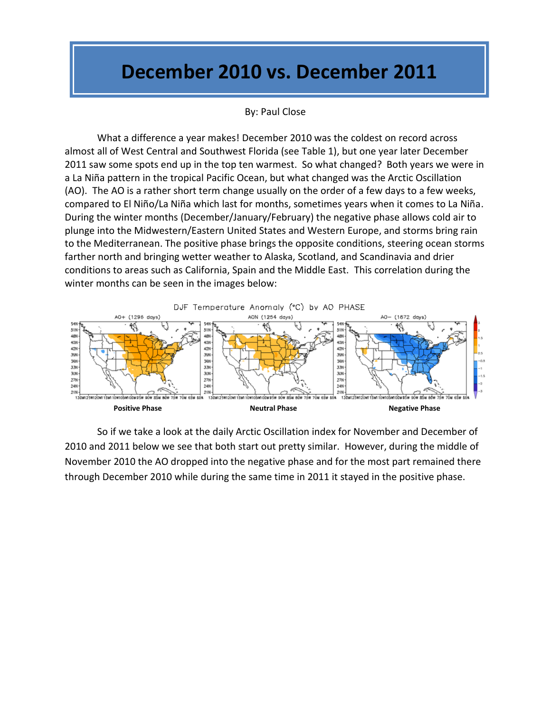# **December 2010 vs. December 2011**

#### By: Paul Close

What a difference a year makes! December 2010 was the coldest on record across almost all of West Central and Southwest Florida (see Table 1), but one year later December 2011 saw some spots end up in the top ten warmest. So what changed? Both years we were in a La Niña pattern in the tropical Pacific Ocean, but what changed was the Arctic Oscillation (AO). The AO is a rather short term change usually on the order of a few days to a few weeks, compared to El Niño/La Niña which last for months, sometimes years when it comes to La Niña. During the winter months (December/January/February) the negative phase allows cold air to plunge into the Midwestern/Eastern United States and Western Europe, and storms bring rain to the Mediterranean. The positive phase brings the opposite conditions, steering ocean storms farther north and bringing wetter weather to Alaska, Scotland, and Scandinavia and drier conditions to areas such as California, Spain and the Middle East. This correlation during the winter months can be seen in the images below:



So if we take a look at the daily Arctic Oscillation index for November and December of 2010 and 2011 below we see that both start out pretty similar. However, during the middle of November 2010 the AO dropped into the negative phase and for the most part remained there through December 2010 while during the same time in 2011 it stayed in the positive phase.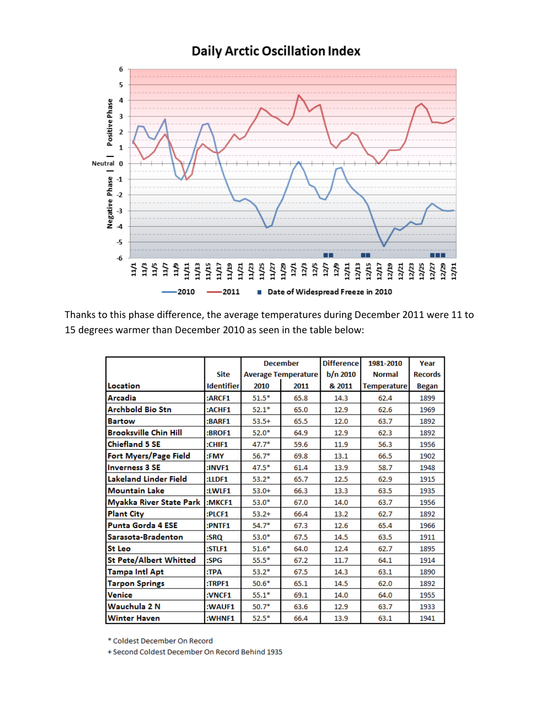

Thanks to this phase difference, the average temperatures during December 2011 were 11 to 15 degrees warmer than December 2010 as seen in the table below:

|                               |                   | <b>December</b>            |      | <b>Difference</b> | 1981-2010          | Year           |
|-------------------------------|-------------------|----------------------------|------|-------------------|--------------------|----------------|
|                               | <b>Site</b>       | <b>Average Temperature</b> |      | b/n 2010          | <b>Normal</b>      | <b>Records</b> |
| Location                      | <b>Identifier</b> | 2010                       | 2011 | & 2011            | <b>Temperature</b> | <b>Began</b>   |
| Arcadia                       | :ARCF1            | $51.5*$                    | 65.8 | 14.3              | 62.4               | 1899           |
| <b>Archbold Bio Stn</b>       | :ACHF1            | $52.1*$                    | 65.0 | 12.9              | 62.6               | 1969           |
| <b>Bartow</b>                 | :BARF1            | $53.5+$                    | 65.5 | 12.0              | 63.7               | 1892           |
| <b>Brooksville Chin Hill</b>  | :BROF1            | $52.0*$                    | 64.9 | 12.9              | 62.3               | 1892           |
| <b>Chiefland 5 SE</b>         | :CHIF1            | $47.7*$                    | 59.6 | 11.9              | 56.3               | 1956           |
| Fort Myers/Page Field         | :FMY              | $56.7*$                    | 69.8 | 13.1              | 66.5               | 1902           |
| <b>Inverness 3 SE</b>         | :INVF1            | $47.5*$                    | 61.4 | 13.9              | 58.7               | 1948           |
| Lakeland Linder Field         | :LIDF1            | $53.2*$                    | 65.7 | 12.5              | 62.9               | 1915           |
| <b>Mountain Lake</b>          | :LWLF1            | $53.0+$                    | 66.3 | 13.3              | 63.5               | 1935           |
| Myakka River State Park       | :MKCF1            | $53.0*$                    | 67.0 | 14.0              | 63.7               | 1956           |
| <b>Plant City</b>             | :PLCF1            | $53.2+$                    | 66.4 | 13.2              | 62.7               | 1892           |
| <b>Punta Gorda 4 ESE</b>      | :PNTF1            | $54.7*$                    | 67.3 | 12.6              | 65.4               | 1966           |
| Sarasota-Bradenton            | :SRQ              | $53.0*$                    | 67.5 | 14.5              | 63.5               | 1911           |
| <b>St Leo</b>                 | :STLF1            | $51.6*$                    | 64.0 | 12.4              | 62.7               | 1895           |
| <b>St Pete/Albert Whitted</b> | $:$ SP $G$        | $55.5*$                    | 67.2 | 11.7              | 64.1               | 1914           |
| <b>Tampa Intl Apt</b>         | :TPA              | $53.2*$                    | 67.5 | 14.3              | 63.1               | 1890           |
| <b>Tarpon Springs</b>         | :TRPF1            | $50.6*$                    | 65.1 | 14.5              | 62.0               | 1892           |
| Venice                        | :VNCF1            | $55.1*$                    | 69.1 | 14.0              | 64.0               | 1955           |
| Wauchula 2 N                  | :WAUF1            | $50.7*$                    | 63.6 | 12.9              | 63.7               | 1933           |
| <b>Winter Haven</b>           | :WHNF1            | $52.5*$                    | 66.4 | 13.9              | 63.1               | 1941           |

\* Coldest December On Record

+ Second Coldest December On Record Behind 1935